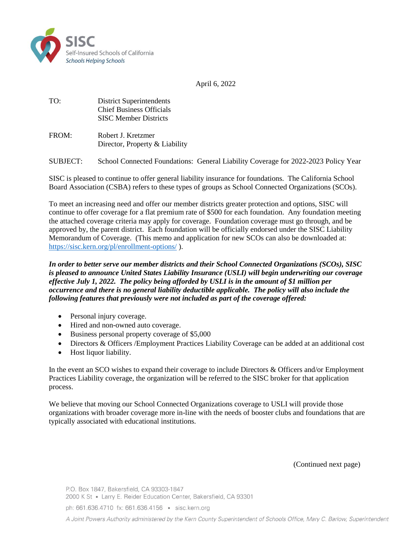

April 6, 2022

TO: District Superintendents Chief Business Officials SISC Member Districts

| FROM: | Robert J. Kretzmer             |
|-------|--------------------------------|
|       | Director, Property & Liability |

SUBJECT: School Connected Foundations: General Liability Coverage for 2022-2023 Policy Year

SISC is pleased to continue to offer general liability insurance for foundations. The California School Board Association (CSBA) refers to these types of groups as School Connected Organizations (SCOs).

To meet an increasing need and offer our member districts greater protection and options, SISC will continue to offer coverage for a flat premium rate of \$500 for each foundation. Any foundation meeting the attached coverage criteria may apply for coverage. Foundation coverage must go through, and be approved by, the parent district. Each foundation will be officially endorsed under the SISC Liability Memorandum of Coverage. (This memo and application for new SCOs can also be downloaded at: <https://sisc.kern.org/pl/enrollment-options/> ).

*In order to better serve our member districts and their School Connected Organizations (SCOs), SISC is pleased to announce United States Liability Insurance (USLI) will begin underwriting our coverage effective July 1, 2022. The policy being afforded by USLI is in the amount of \$1 million per occurrence and there is no general liability deductible applicable. The policy will also include the following features that previously were not included as part of the coverage offered:*

- Personal injury coverage.
- Hired and non-owned auto coverage.
- Business personal property coverage of \$5,000
- Directors & Officers / Employment Practices Liability Coverage can be added at an additional cost
- Host liquor liability.

In the event an SCO wishes to expand their coverage to include Directors & Officers and/or Employment Practices Liability coverage, the organization will be referred to the SISC broker for that application process.

We believe that moving our School Connected Organizations coverage to USLI will provide those organizations with broader coverage more in-line with the needs of booster clubs and foundations that are typically associated with educational institutions.

(Continued next page)

ph: 661.636.4710 fx: 661.636.4156 · sisc.kern.org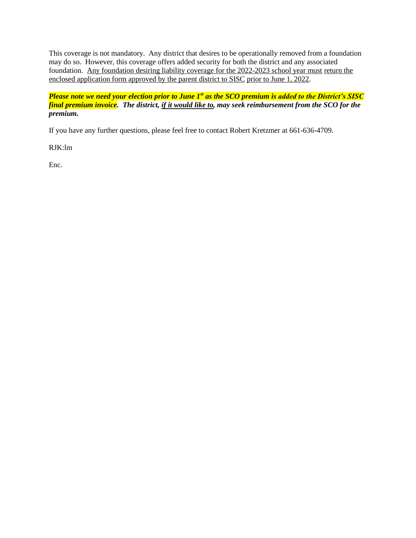This coverage is not mandatory. Any district that desires to be operationally removed from a foundation may do so. However, this coverage offers added security for both the district and any associated foundation. Any foundation desiring liability coverage for the 2022-2023 school year must return the enclosed application form approved by the parent district to SISC prior to June 1, 2022.

*Please note we need your election prior to June 1st as the SCO premium is added to the District's SISC final premium invoice. The district, if it would like to, may seek reimbursement from the SCO for the premium.* 

If you have any further questions, please feel free to contact Robert Kretzmer at 661-636-4709.

RJK:lm

Enc.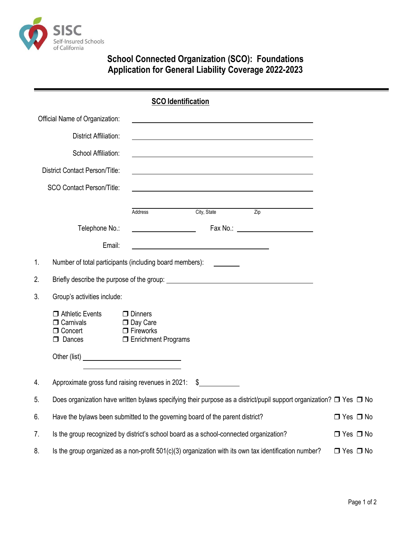

## **School Connected Organization (SCO): Foundations Application for General Liability Coverage 2022-2023**

|    |                                                                                                                               | <b>SCO Identification</b>                                                        |             |                                                                                                                  |  |
|----|-------------------------------------------------------------------------------------------------------------------------------|----------------------------------------------------------------------------------|-------------|------------------------------------------------------------------------------------------------------------------|--|
|    | Official Name of Organization:                                                                                                |                                                                                  |             |                                                                                                                  |  |
|    | <b>District Affiliation:</b>                                                                                                  |                                                                                  |             |                                                                                                                  |  |
|    | School Affiliation:                                                                                                           |                                                                                  |             |                                                                                                                  |  |
|    | <b>District Contact Person/Title:</b>                                                                                         |                                                                                  |             | and the control of the control of the control of the control of the control of the control of the control of the |  |
|    | <b>SCO Contact Person/Title:</b>                                                                                              |                                                                                  |             | and the control of the control of the control of the control of the control of the control of the control of the |  |
|    |                                                                                                                               | Address                                                                          | City, State | $\overline{Zip}$                                                                                                 |  |
|    | Telephone No.:                                                                                                                |                                                                                  |             |                                                                                                                  |  |
|    | Email:                                                                                                                        |                                                                                  |             |                                                                                                                  |  |
| 1. | Number of total participants (including board members):                                                                       |                                                                                  |             |                                                                                                                  |  |
| 2. |                                                                                                                               |                                                                                  |             |                                                                                                                  |  |
| 3. | Group's activities include:                                                                                                   |                                                                                  |             |                                                                                                                  |  |
|    | $\Box$ Athletic Events<br>$\Box$ Carnivals<br>□ Concert<br>$\Box$ Dances                                                      | $\Box$ Dinners<br>□ Day Care<br>$\Box$ Fireworks<br><b>I</b> Enrichment Programs |             |                                                                                                                  |  |
|    |                                                                                                                               |                                                                                  |             |                                                                                                                  |  |
| 4. | Approximate gross fund raising revenues in 2021:                                                                              | \$                                                                               |             |                                                                                                                  |  |
| 5. | Does organization have written bylaws specifying their purpose as a district/pupil support organization? $\Box$ Yes $\Box$ No |                                                                                  |             |                                                                                                                  |  |
| 6. | Have the bylaws been submitted to the governing board of the parent district?<br>$\Box$ Yes $\Box$ No                         |                                                                                  |             |                                                                                                                  |  |
| 7. | Is the group recognized by district's school board as a school-connected organization?<br>$\Box$ Yes $\Box$ No                |                                                                                  |             |                                                                                                                  |  |
| 8. | Is the group organized as a non-profit 501(c)(3) organization with its own tax identification number?<br>$\Box$ Yes $\Box$ No |                                                                                  |             |                                                                                                                  |  |